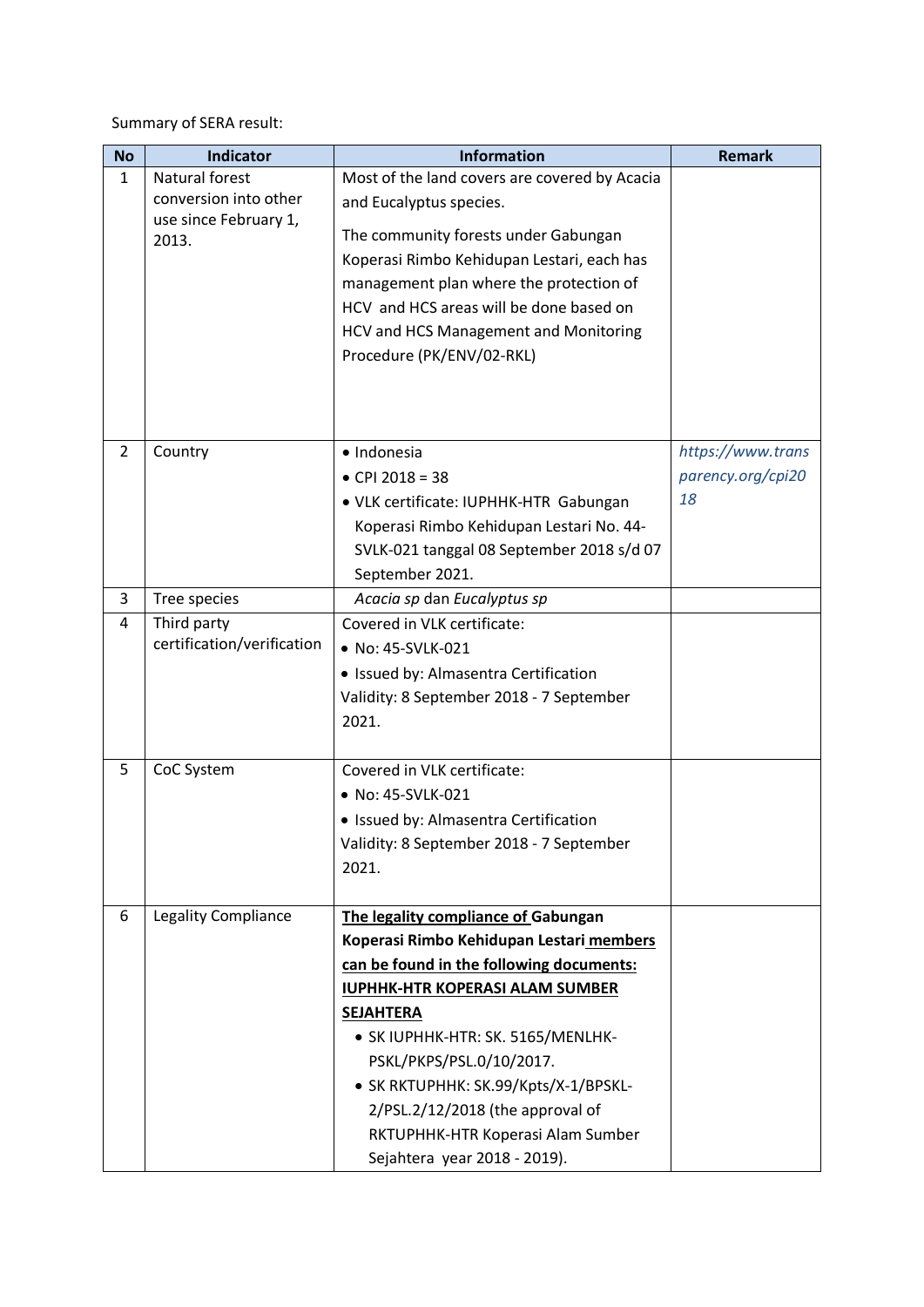Summary of SERA result:

| <b>No</b>      | <b>Indicator</b>               | <b>Information</b>                                                              | <b>Remark</b>     |
|----------------|--------------------------------|---------------------------------------------------------------------------------|-------------------|
| $\mathbf{1}$   | Natural forest                 | Most of the land covers are covered by Acacia                                   |                   |
|                | conversion into other          | and Eucalyptus species.                                                         |                   |
|                | use since February 1,<br>2013. | The community forests under Gabungan                                            |                   |
|                |                                | Koperasi Rimbo Kehidupan Lestari, each has                                      |                   |
|                |                                | management plan where the protection of                                         |                   |
|                |                                | HCV and HCS areas will be done based on                                         |                   |
|                |                                | <b>HCV and HCS Management and Monitoring</b>                                    |                   |
|                |                                | Procedure (PK/ENV/02-RKL)                                                       |                   |
|                |                                |                                                                                 |                   |
|                |                                |                                                                                 |                   |
|                |                                |                                                                                 |                   |
| $\overline{2}$ | Country                        | · Indonesia                                                                     | https://www.trans |
|                |                                | • CPI 2018 = 38                                                                 | parency.org/cpi20 |
|                |                                | • VLK certificate: IUPHHK-HTR Gabungan                                          | 18                |
|                |                                | Koperasi Rimbo Kehidupan Lestari No. 44-                                        |                   |
|                |                                | SVLK-021 tanggal 08 September 2018 s/d 07                                       |                   |
|                |                                | September 2021.                                                                 |                   |
| 3              | Tree species                   | Acacia sp dan Eucalyptus sp                                                     |                   |
| 4              | Third party                    | Covered in VLK certificate:                                                     |                   |
|                | certification/verification     | • No: 45-SVLK-021                                                               |                   |
|                |                                | · Issued by: Almasentra Certification                                           |                   |
|                |                                | Validity: 8 September 2018 - 7 September                                        |                   |
|                |                                | 2021.                                                                           |                   |
|                |                                |                                                                                 |                   |
| 5              | CoC System                     | Covered in VLK certificate:                                                     |                   |
|                |                                | • No: 45-SVLK-021                                                               |                   |
|                |                                | · Issued by: Almasentra Certification                                           |                   |
|                |                                | Validity: 8 September 2018 - 7 September                                        |                   |
|                |                                | 2021.                                                                           |                   |
| 6              |                                |                                                                                 |                   |
|                | <b>Legality Compliance</b>     | The legality compliance of Gabungan<br>Koperasi Rimbo Kehidupan Lestari members |                   |
|                |                                | can be found in the following documents:                                        |                   |
|                |                                | <b>IUPHHK-HTR KOPERASI ALAM SUMBER</b>                                          |                   |
|                |                                | <b>SEJAHTERA</b>                                                                |                   |
|                |                                | • SK IUPHHK-HTR: SK. 5165/MENLHK-                                               |                   |
|                |                                | PSKL/PKPS/PSL.0/10/2017.                                                        |                   |
|                |                                | • SK RKTUPHHK: SK.99/Kpts/X-1/BPSKL-                                            |                   |
|                |                                | 2/PSL.2/12/2018 (the approval of                                                |                   |
|                |                                | RKTUPHHK-HTR Koperasi Alam Sumber                                               |                   |
|                |                                | Sejahtera year 2018 - 2019).                                                    |                   |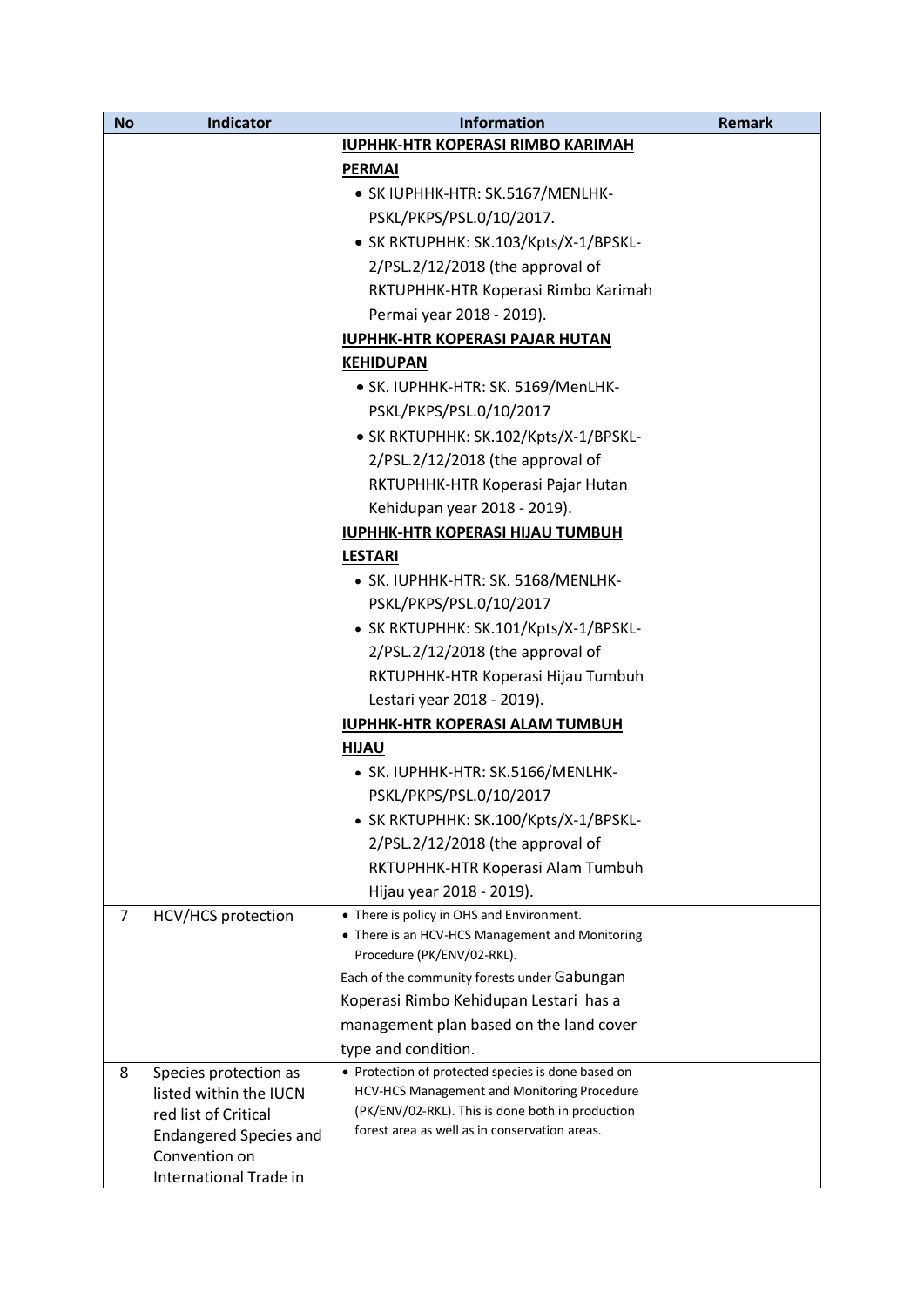| <b>No</b> | <b>Indicator</b>                                | <b>Information</b>                                                        | <b>Remark</b> |
|-----------|-------------------------------------------------|---------------------------------------------------------------------------|---------------|
|           |                                                 | <b>IUPHHK-HTR KOPERASI RIMBO KARIMAH</b>                                  |               |
|           |                                                 | <b>PERMAI</b>                                                             |               |
|           |                                                 | • SK IUPHHK-HTR: SK.5167/MENLHK-                                          |               |
|           |                                                 | PSKL/PKPS/PSL.0/10/2017.                                                  |               |
|           |                                                 | • SK RKTUPHHK: SK.103/Kpts/X-1/BPSKL-                                     |               |
|           |                                                 | 2/PSL.2/12/2018 (the approval of                                          |               |
|           |                                                 | RKTUPHHK-HTR Koperasi Rimbo Karimah                                       |               |
|           |                                                 | Permai year 2018 - 2019).                                                 |               |
|           |                                                 | <b>IUPHHK-HTR KOPERASI PAJAR HUTAN</b>                                    |               |
|           |                                                 | <b>KEHIDUPAN</b>                                                          |               |
|           |                                                 | · SK. IUPHHK-HTR: SK. 5169/MenLHK-                                        |               |
|           |                                                 | PSKL/PKPS/PSL.0/10/2017                                                   |               |
|           |                                                 | • SK RKTUPHHK: SK.102/Kpts/X-1/BPSKL-                                     |               |
|           |                                                 | 2/PSL.2/12/2018 (the approval of                                          |               |
|           |                                                 | RKTUPHHK-HTR Koperasi Pajar Hutan                                         |               |
|           |                                                 | Kehidupan year 2018 - 2019).                                              |               |
|           |                                                 | <b>IUPHHK-HTR KOPERASI HIJAU TUMBUH</b>                                   |               |
|           |                                                 | <b>LESTARI</b>                                                            |               |
|           |                                                 | • SK. IUPHHK-HTR: SK. 5168/MENLHK-                                        |               |
|           |                                                 | PSKL/PKPS/PSL.0/10/2017                                                   |               |
|           |                                                 | · SK RKTUPHHK: SK.101/Kpts/X-1/BPSKL-                                     |               |
|           |                                                 | 2/PSL.2/12/2018 (the approval of                                          |               |
|           |                                                 | RKTUPHHK-HTR Koperasi Hijau Tumbuh                                        |               |
|           |                                                 | Lestari year 2018 - 2019).                                                |               |
|           |                                                 | <b>IUPHHK-HTR KOPERASI ALAM TUMBUH</b>                                    |               |
|           |                                                 | <b>HIJAU</b>                                                              |               |
|           |                                                 | • SK. IUPHHK-HTR: SK.5166/MENLHK-                                         |               |
|           |                                                 | PSKL/PKPS/PSL.0/10/2017                                                   |               |
|           |                                                 | • SK RKTUPHHK: SK.100/Kpts/X-1/BPSKL-                                     |               |
|           |                                                 | 2/PSL.2/12/2018 (the approval of                                          |               |
|           |                                                 | RKTUPHHK-HTR Koperasi Alam Tumbuh                                         |               |
|           |                                                 | Hijau year 2018 - 2019).                                                  |               |
| 7         | <b>HCV/HCS</b> protection                       | • There is policy in OHS and Environment.                                 |               |
|           |                                                 | • There is an HCV-HCS Management and Monitoring                           |               |
|           |                                                 | Procedure (PK/ENV/02-RKL).                                                |               |
|           |                                                 | Each of the community forests under Gabungan                              |               |
|           |                                                 | Koperasi Rimbo Kehidupan Lestari has a                                    |               |
|           |                                                 | management plan based on the land cover                                   |               |
| 8         |                                                 | type and condition.<br>• Protection of protected species is done based on |               |
|           | Species protection as<br>listed within the IUCN | HCV-HCS Management and Monitoring Procedure                               |               |
|           | red list of Critical                            | (PK/ENV/02-RKL). This is done both in production                          |               |
|           | <b>Endangered Species and</b>                   | forest area as well as in conservation areas.                             |               |
|           | Convention on                                   |                                                                           |               |
|           | International Trade in                          |                                                                           |               |